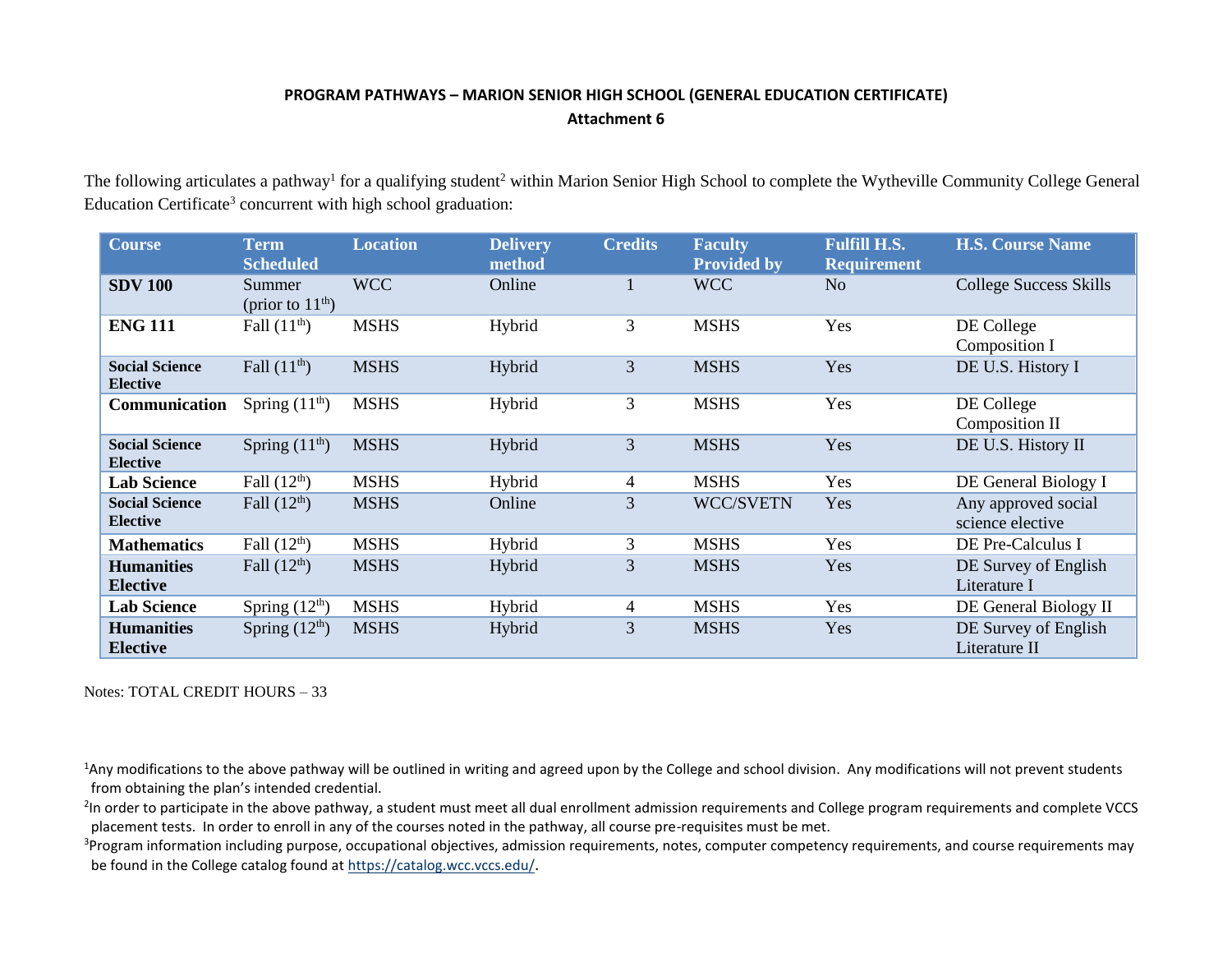## **PROGRAM PATHWAYS – MARION SENIOR HIGH SCHOOL (GENERAL EDUCATION CERTIFICATE) Attachment 6**

The following articulates a pathway<sup>1</sup> for a qualifying student<sup>2</sup> within Marion Senior High School to complete the Wytheville Community College General Education Certificate<sup>3</sup> concurrent with high school graduation:

| <b>Course</b>                            | <b>Term</b><br><b>Scheduled</b> | <b>Location</b> | <b>Delivery</b><br>method | <b>Credits</b> | <b>Faculty</b><br><b>Provided by</b> | <b>Fulfill H.S.</b><br><b>Requirement</b> | <b>H.S. Course Name</b>                 |
|------------------------------------------|---------------------------------|-----------------|---------------------------|----------------|--------------------------------------|-------------------------------------------|-----------------------------------------|
| <b>SDV 100</b>                           | Summer<br>(prior to $11th$ )    | <b>WCC</b>      | Online                    | 1              | <b>WCC</b>                           | N <sub>o</sub>                            | <b>College Success Skills</b>           |
| <b>ENG 111</b>                           | Fall $(11th)$                   | <b>MSHS</b>     | Hybrid                    | 3              | <b>MSHS</b>                          | Yes                                       | DE College<br>Composition I             |
| <b>Social Science</b><br><b>Elective</b> | Fall $(11th)$                   | <b>MSHS</b>     | Hybrid                    | 3              | <b>MSHS</b>                          | Yes                                       | DE U.S. History I                       |
| Communication                            | Spring $(11th)$                 | <b>MSHS</b>     | Hybrid                    | 3              | <b>MSHS</b>                          | Yes                                       | DE College<br>Composition II            |
| <b>Social Science</b><br><b>Elective</b> | Spring $(11th)$                 | <b>MSHS</b>     | Hybrid                    | 3              | <b>MSHS</b>                          | Yes                                       | DE U.S. History II                      |
| <b>Lab Science</b>                       | Fall $(12th)$                   | <b>MSHS</b>     | Hybrid                    | 4              | <b>MSHS</b>                          | Yes                                       | DE General Biology I                    |
| <b>Social Science</b><br><b>Elective</b> | Fall $(12th)$                   | <b>MSHS</b>     | Online                    | 3              | <b>WCC/SVETN</b>                     | Yes                                       | Any approved social<br>science elective |
| <b>Mathematics</b>                       | Fall $(12th)$                   | <b>MSHS</b>     | Hybrid                    | 3              | <b>MSHS</b>                          | Yes                                       | DE Pre-Calculus I                       |
| <b>Humanities</b><br><b>Elective</b>     | Fall $(12th)$                   | <b>MSHS</b>     | Hybrid                    | 3              | <b>MSHS</b>                          | Yes                                       | DE Survey of English<br>Literature I    |
| <b>Lab Science</b>                       | Spring $(12th)$                 | <b>MSHS</b>     | Hybrid                    | 4              | <b>MSHS</b>                          | Yes                                       | DE General Biology II                   |
| <b>Humanities</b><br><b>Elective</b>     | Spring $(12th)$                 | <b>MSHS</b>     | Hybrid                    | 3              | <b>MSHS</b>                          | Yes                                       | DE Survey of English<br>Literature II   |

Notes: TOTAL CREDIT HOURS – 33

<sup>1</sup>Any modifications to the above pathway will be outlined in writing and agreed upon by the College and school division. Any modifications will not prevent students from obtaining the plan's intended credential.

<sup>2</sup>In order to participate in the above pathway, a student must meet all dual enrollment admission requirements and College program requirements and complete VCCS placement tests. In order to enroll in any of the courses noted in the pathway, all course pre-requisites must be met.

<sup>3</sup>Program information including purpose, occupational objectives, admission requirements, notes, computer competency requirements, and course requirements may be found in the College catalog found a[t https://catalog.wcc.vccs.edu/](https://catalog.wcc.vccs.edu/).